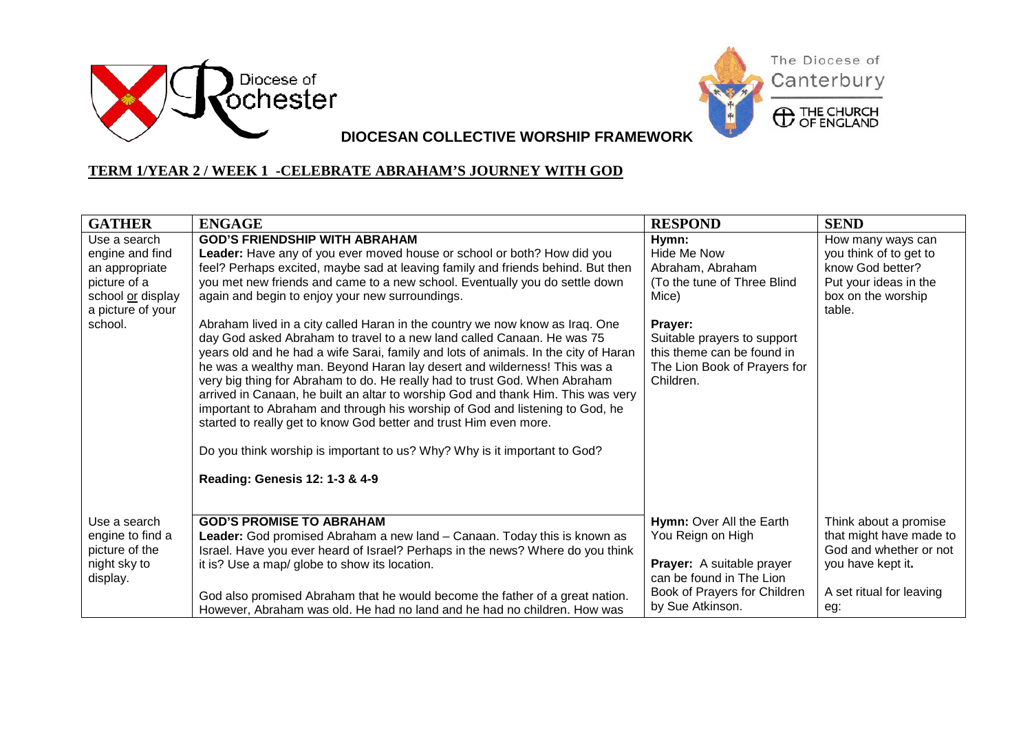



**DIOCESAN COLLECTIVE WORSHIP FRAMEWORK**

## **TERM 1/YEAR 2 / WEEK 1 -CELEBRATE ABRAHAM'S JOURNEY WITH GOD**

| <b>GATHER</b>                | <b>ENGAGE</b>                                                                       | <b>RESPOND</b>               | <b>SEND</b>                  |
|------------------------------|-------------------------------------------------------------------------------------|------------------------------|------------------------------|
| Use a search                 | <b>GOD'S FRIENDSHIP WITH ABRAHAM</b>                                                | Hymn:                        | How many ways can            |
| engine and find              | Leader: Have any of you ever moved house or school or both? How did you             | Hide Me Now                  | you think of to get to       |
| an appropriate               | feel? Perhaps excited, maybe sad at leaving family and friends behind. But then     | Abraham, Abraham             | know God better?             |
| picture of a                 | you met new friends and came to a new school. Eventually you do settle down         | (To the tune of Three Blind  | Put your ideas in the        |
| school or display            | again and begin to enjoy your new surroundings.                                     | Mice)                        | box on the worship<br>table. |
| a picture of your<br>school. | Abraham lived in a city called Haran in the country we now know as Iraq. One        | Prayer:                      |                              |
|                              | day God asked Abraham to travel to a new land called Canaan. He was 75              | Suitable prayers to support  |                              |
|                              | years old and he had a wife Sarai, family and lots of animals. In the city of Haran | this theme can be found in   |                              |
|                              | he was a wealthy man. Beyond Haran lay desert and wilderness! This was a            | The Lion Book of Prayers for |                              |
|                              | very big thing for Abraham to do. He really had to trust God. When Abraham          | Children.                    |                              |
|                              | arrived in Canaan, he built an altar to worship God and thank Him. This was very    |                              |                              |
|                              | important to Abraham and through his worship of God and listening to God, he        |                              |                              |
|                              | started to really get to know God better and trust Him even more.                   |                              |                              |
|                              | Do you think worship is important to us? Why? Why is it important to God?           |                              |                              |
|                              |                                                                                     |                              |                              |
|                              | Reading: Genesis 12: 1-3 & 4-9                                                      |                              |                              |
|                              |                                                                                     |                              |                              |
| Use a search                 | <b>GOD'S PROMISE TO ABRAHAM</b>                                                     | Hymn: Over All the Earth     | Think about a promise        |
| engine to find a             | Leader: God promised Abraham a new land - Canaan. Today this is known as            | You Reign on High            | that might have made to      |
| picture of the               | Israel. Have you ever heard of Israel? Perhaps in the news? Where do you think      |                              | God and whether or not       |
| night sky to                 | it is? Use a map/ globe to show its location.                                       | Prayer: A suitable prayer    | you have kept it.            |
| display.                     |                                                                                     | can be found in The Lion     |                              |
|                              | God also promised Abraham that he would become the father of a great nation.        | Book of Prayers for Children | A set ritual for leaving     |
|                              | However, Abraham was old. He had no land and he had no children. How was            | by Sue Atkinson.             | eg:                          |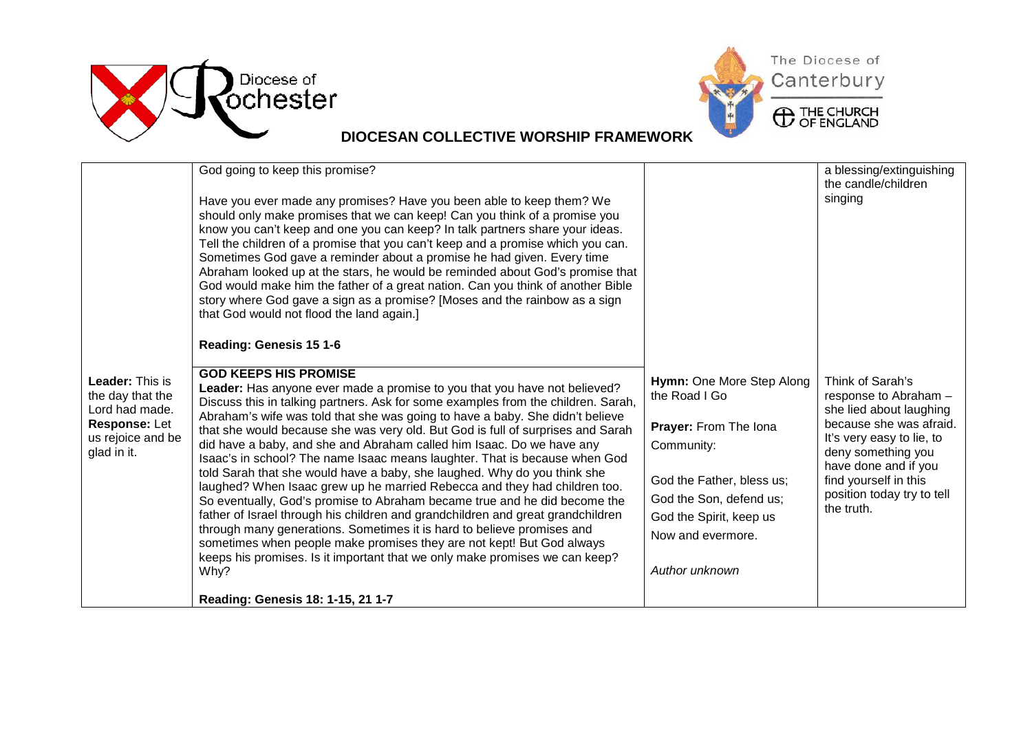



## **DIOCESAN COLLECTIVE WORSHIP FRAMEWORK**

|                                                                                                                   | God going to keep this promise?<br>Have you ever made any promises? Have you been able to keep them? We<br>should only make promises that we can keep! Can you think of a promise you<br>know you can't keep and one you can keep? In talk partners share your ideas.<br>Tell the children of a promise that you can't keep and a promise which you can.<br>Sometimes God gave a reminder about a promise he had given. Every time<br>Abraham looked up at the stars, he would be reminded about God's promise that<br>God would make him the father of a great nation. Can you think of another Bible<br>story where God gave a sign as a promise? [Moses and the rainbow as a sign<br>that God would not flood the land again.]                                                                                                                                                                                                                                                                                                                                                                                                                            |                                                                                                                                                                                                             | a blessing/extinguishing<br>the candle/children<br>singing                                                                                                                                                                                      |
|-------------------------------------------------------------------------------------------------------------------|--------------------------------------------------------------------------------------------------------------------------------------------------------------------------------------------------------------------------------------------------------------------------------------------------------------------------------------------------------------------------------------------------------------------------------------------------------------------------------------------------------------------------------------------------------------------------------------------------------------------------------------------------------------------------------------------------------------------------------------------------------------------------------------------------------------------------------------------------------------------------------------------------------------------------------------------------------------------------------------------------------------------------------------------------------------------------------------------------------------------------------------------------------------|-------------------------------------------------------------------------------------------------------------------------------------------------------------------------------------------------------------|-------------------------------------------------------------------------------------------------------------------------------------------------------------------------------------------------------------------------------------------------|
| <b>Leader: This is</b><br>the day that the<br>Lord had made.<br>Response: Let<br>us rejoice and be<br>glad in it. | Reading: Genesis 15 1-6<br><b>GOD KEEPS HIS PROMISE</b><br>Leader: Has anyone ever made a promise to you that you have not believed?<br>Discuss this in talking partners. Ask for some examples from the children. Sarah,<br>Abraham's wife was told that she was going to have a baby. She didn't believe<br>that she would because she was very old. But God is full of surprises and Sarah<br>did have a baby, and she and Abraham called him Isaac. Do we have any<br>Isaac's in school? The name Isaac means laughter. That is because when God<br>told Sarah that she would have a baby, she laughed. Why do you think she<br>laughed? When Isaac grew up he married Rebecca and they had children too.<br>So eventually, God's promise to Abraham became true and he did become the<br>father of Israel through his children and grandchildren and great grandchildren<br>through many generations. Sometimes it is hard to believe promises and<br>sometimes when people make promises they are not kept! But God always<br>keeps his promises. Is it important that we only make promises we can keep?<br>Why?<br>Reading: Genesis 18: 1-15, 21 1-7 | Hymn: One More Step Along<br>the Road I Go<br>Prayer: From The Iona<br>Community:<br>God the Father, bless us;<br>God the Son, defend us;<br>God the Spirit, keep us<br>Now and evermore.<br>Author unknown | Think of Sarah's<br>response to Abraham -<br>she lied about laughing<br>because she was afraid.<br>It's very easy to lie, to<br>deny something you<br>have done and if you<br>find yourself in this<br>position today try to tell<br>the truth. |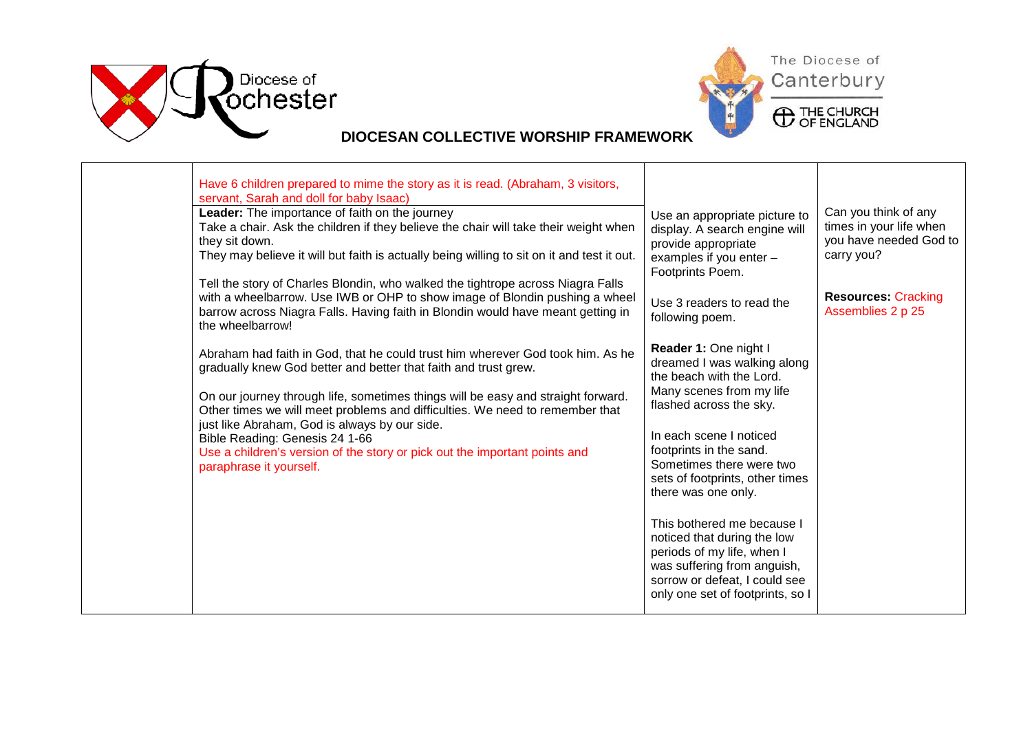

┬



## **DIOCESAN COLLECTIVE WORSHIP FRAMEWORK**

Т

| Have 6 children prepared to mime the story as it is read. (Abraham, 3 visitors,<br>servant, Sarah and doll for baby Isaac)                                                                                                                                            |                                                                                                                                                         |                                                                                         |
|-----------------------------------------------------------------------------------------------------------------------------------------------------------------------------------------------------------------------------------------------------------------------|---------------------------------------------------------------------------------------------------------------------------------------------------------|-----------------------------------------------------------------------------------------|
| Leader: The importance of faith on the journey<br>Take a chair. Ask the children if they believe the chair will take their weight when<br>they sit down.<br>They may believe it will but faith is actually being willing to sit on it and test it out.                | Use an appropriate picture to<br>display. A search engine will<br>provide appropriate<br>examples if you enter -<br>Footprints Poem.                    | Can you think of any<br>times in your life when<br>you have needed God to<br>carry you? |
| Tell the story of Charles Blondin, who walked the tightrope across Niagra Falls<br>with a wheelbarrow. Use IWB or OHP to show image of Blondin pushing a wheel<br>barrow across Niagra Falls. Having faith in Blondin would have meant getting in<br>the wheelbarrow! | Use 3 readers to read the<br>following poem.                                                                                                            | <b>Resources: Cracking</b><br>Assemblies 2 p 25                                         |
| Abraham had faith in God, that he could trust him wherever God took him. As he<br>gradually knew God better and better that faith and trust grew.                                                                                                                     | Reader 1: One night I<br>dreamed I was walking along<br>the beach with the Lord.                                                                        |                                                                                         |
| On our journey through life, sometimes things will be easy and straight forward.<br>Other times we will meet problems and difficulties. We need to remember that                                                                                                      | Many scenes from my life<br>flashed across the sky.                                                                                                     |                                                                                         |
| just like Abraham, God is always by our side.<br>Bible Reading: Genesis 24 1-66<br>Use a children's version of the story or pick out the important points and                                                                                                         | In each scene I noticed<br>footprints in the sand.                                                                                                      |                                                                                         |
| paraphrase it yourself.                                                                                                                                                                                                                                               | Sometimes there were two<br>sets of footprints, other times<br>there was one only.                                                                      |                                                                                         |
|                                                                                                                                                                                                                                                                       | This bothered me because I<br>noticed that during the low<br>periods of my life, when I<br>was suffering from anguish,<br>sorrow or defeat, I could see |                                                                                         |
|                                                                                                                                                                                                                                                                       | only one set of footprints, so I                                                                                                                        |                                                                                         |
|                                                                                                                                                                                                                                                                       |                                                                                                                                                         |                                                                                         |